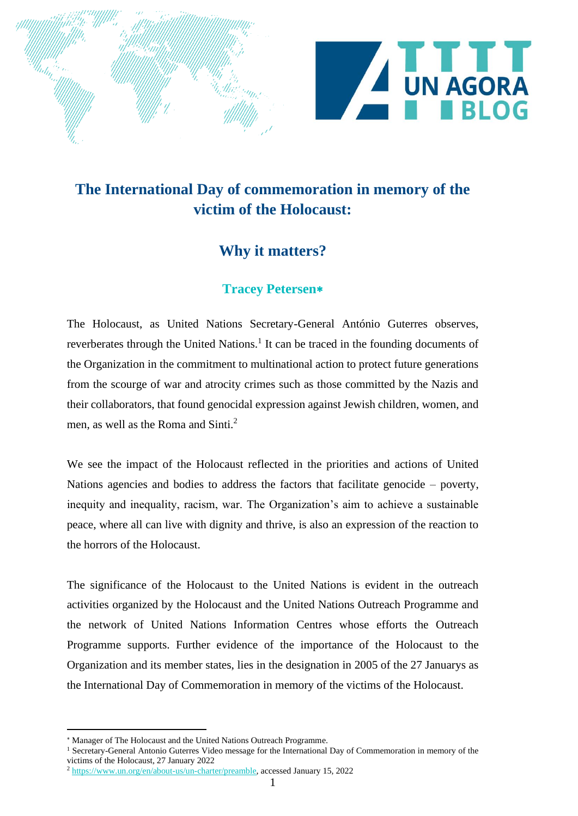

## **The International Day of commemoration in memory of the victim of the Holocaust:**

## **Why it matters?**

## **Tracey Petersen**

The Holocaust, as United Nations Secretary-General António Guterres observes, reverberates through the United Nations.<sup>1</sup> It can be traced in the founding documents of the Organization in the commitment to multinational action to protect future generations from the scourge of war and atrocity crimes such as those committed by the Nazis and their collaborators, that found genocidal expression against Jewish children, women, and men, as well as the Roma and Sinti.<sup>2</sup>

We see the impact of the Holocaust reflected in the priorities and actions of United Nations agencies and bodies to address the factors that facilitate genocide – poverty, inequity and inequality, racism, war. The Organization's aim to achieve a sustainable peace, where all can live with dignity and thrive, is also an expression of the reaction to the horrors of the Holocaust.

The significance of the Holocaust to the United Nations is evident in the outreach activities organized by the Holocaust and the United Nations Outreach Programme and the network of United Nations Information Centres whose efforts the Outreach Programme supports. Further evidence of the importance of the Holocaust to the Organization and its member states, lies in the designation in 2005 of the 27 Januarys as the International Day of Commemoration in memory of the victims of the Holocaust.

Manager of The Holocaust and the United Nations Outreach Programme.

<sup>&</sup>lt;sup>1</sup> Secretary-General Antonio Guterres Video message for the International Day of Commemoration in memory of the victims of the Holocaust, 27 January 2022

<sup>2</sup> [https://www.un.org/en/about-us/un-charter/preamble,](https://www.un.org/en/about-us/un-charter/preamble) accessed January 15, 2022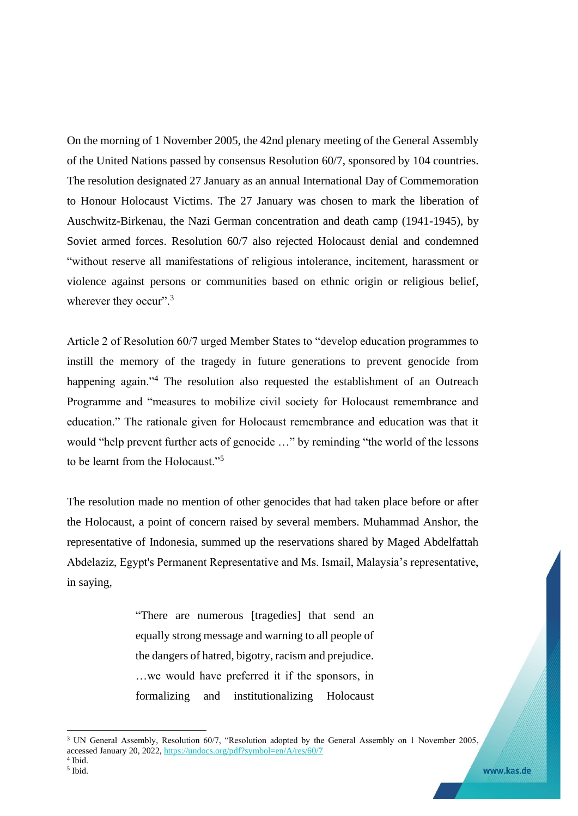On the morning of 1 November 2005, the 42nd plenary meeting of the General Assembly of the United Nations passed by consensus Resolution 60/7, sponsored by 104 countries. The resolution designated 27 January as an annual International Day of Commemoration to Honour Holocaust Victims. The 27 January was chosen to mark the liberation of Auschwitz-Birkenau, the Nazi German concentration and death camp (1941-1945), by Soviet armed forces. Resolution 60/7 also rejected Holocaust denial and condemned "without reserve all manifestations of religious intolerance, incitement, harassment or violence against persons or communities based on ethnic origin or religious belief, wherever they occur".<sup>3</sup>

Article 2 of Resolution 60/7 urged Member States to "develop education programmes to instill the memory of the tragedy in future generations to prevent genocide from happening again."<sup>4</sup> The resolution also requested the establishment of an Outreach Programme and "measures to mobilize civil society for Holocaust remembrance and education." The rationale given for Holocaust remembrance and education was that it would "help prevent further acts of genocide …" by reminding "the world of the lessons to be learnt from the Holocaust."<sup>5</sup>

The resolution made no mention of other genocides that had taken place before or after the Holocaust, a point of concern raised by several members. Muhammad Anshor, the representative of Indonesia, summed up the reservations shared by Maged Abdelfattah Abdelaziz, Egypt's Permanent Representative and Ms. Ismail, Malaysia's representative, in saying,

> "There are numerous [tragedies] that send an equally strong message and warning to all people of the dangers of hatred, bigotry, racism and prejudice. …we would have preferred it if the sponsors, in formalizing and institutionalizing Holocaust

www.kas.de

<sup>&</sup>lt;sup>3</sup> UN General Assembly, Resolution 60/7, "Resolution adopted by the General Assembly on 1 November 2005, accessed January 20, 2022, <https://undocs.org/pdf?symbol=en/A/res/60/7>

<sup>4</sup> Ibid. 5 Ibid.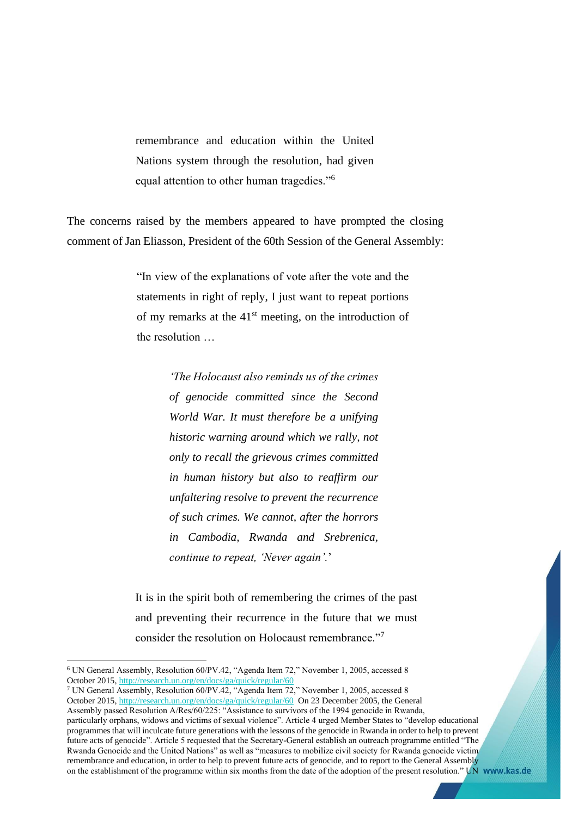remembrance and education within the United Nations system through the resolution, had given equal attention to other human tragedies."<sup>6</sup>

The concerns raised by the members appeared to have prompted the closing comment of Jan Eliasson, President of the 60th Session of the General Assembly:

> "In view of the explanations of vote after the vote and the statements in right of reply, I just want to repeat portions of my remarks at the  $41<sup>st</sup>$  meeting, on the introduction of the resolution …

> > *'The Holocaust also reminds us of the crimes of genocide committed since the Second World War. It must therefore be a unifying historic warning around which we rally, not only to recall the grievous crimes committed in human history but also to reaffirm our unfaltering resolve to prevent the recurrence of such crimes. We cannot, after the horrors in Cambodia, Rwanda and Srebrenica, continue to repeat, 'Never again'.*'

It is in the spirit both of remembering the crimes of the past and preventing their recurrence in the future that we must consider the resolution on Holocaust remembrance."<sup>7</sup>

<sup>6</sup> UN General Assembly, Resolution 60/PV.42, "Agenda Item 72," November 1, 2005, accessed 8 October 2015[, http://research.un.org/en/docs/ga/quick/regular/60](http://research.un.org/en/docs/ga/quick/regular/60)

<sup>7</sup> UN General Assembly, Resolution 60/PV.42, "Agenda Item 72," November 1, 2005, accessed 8 October 2015[, http://research.un.org/en/docs/ga/quick/regular/60](http://research.un.org/en/docs/ga/quick/regular/60) On 23 December 2005, the General Assembly passed Resolution A/Res/60/225: "Assistance to survivors of the 1994 genocide in Rwanda, particularly orphans, widows and victims of sexual violence". Article 4 urged Member States to "develop educational programmes that will inculcate future generations with the lessons of the genocide in Rwanda in order to help to prevent future acts of genocide". Article 5 requested that the Secretary-General establish an outreach programme entitled "The Rwanda Genocide and the United Nations" as well as "measures to mobilize civil society for Rwanda genocide victim remembrance and education, in order to help to prevent future acts of genocide, and to report to the General Assembly on the establishment of the programme within six months from the date of the adoption of the present resolution." UN www.kas.de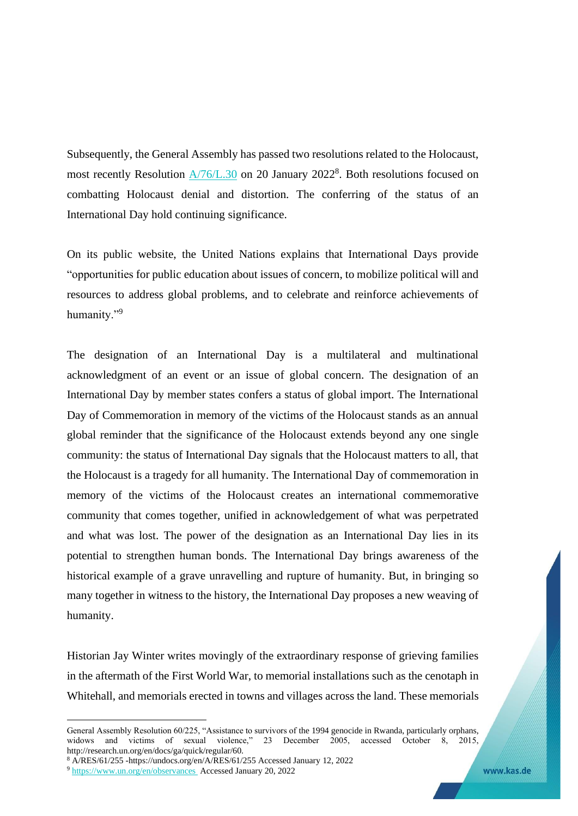Subsequently, the General Assembly has passed two resolutions related to the Holocaust, most recently Resolution  $\frac{A/76}{L.30}$  on 20 January 2022<sup>8</sup>. Both resolutions focused on combatting Holocaust denial and distortion. The conferring of the status of an International Day hold continuing significance.

On its public website, the United Nations explains that International Days provide "opportunities for public education about issues of concern, to mobilize political will and resources to address global problems, and to celebrate and reinforce achievements of humanity."<sup>9</sup>

The designation of an International Day is a multilateral and multinational acknowledgment of an event or an issue of global concern. The designation of an International Day by member states confers a status of global import. The International Day of Commemoration in memory of the victims of the Holocaust stands as an annual global reminder that the significance of the Holocaust extends beyond any one single community: the status of International Day signals that the Holocaust matters to all, that the Holocaust is a tragedy for all humanity. The International Day of commemoration in memory of the victims of the Holocaust creates an international commemorative community that comes together, unified in acknowledgement of what was perpetrated and what was lost. The power of the designation as an International Day lies in its potential to strengthen human bonds. The International Day brings awareness of the historical example of a grave unravelling and rupture of humanity. But, in bringing so many together in witness to the history, the International Day proposes a new weaving of humanity.

Historian Jay Winter writes movingly of the extraordinary response of grieving families in the aftermath of the First World War, to memorial installations such as the cenotaph in Whitehall, and memorials erected in towns and villages across the land. These memorials

General Assembly Resolution 60/225, "Assistance to survivors of the 1994 genocide in Rwanda, particularly orphans, widows and victims of sexual violence," 23 December 2005, accessed October 8, 2015, http://research.un.org/en/docs/ga/quick/regular/60.

<sup>8</sup> A/RES/61/255 -https://undocs.org/en/A/RES/61/255 Accessed January 12, 2022

<sup>9</sup> [https://www.un.org/en/observances](https://www.un.org/en/observances%20%20Accessed%20January%2015) Accessed January 20, 2022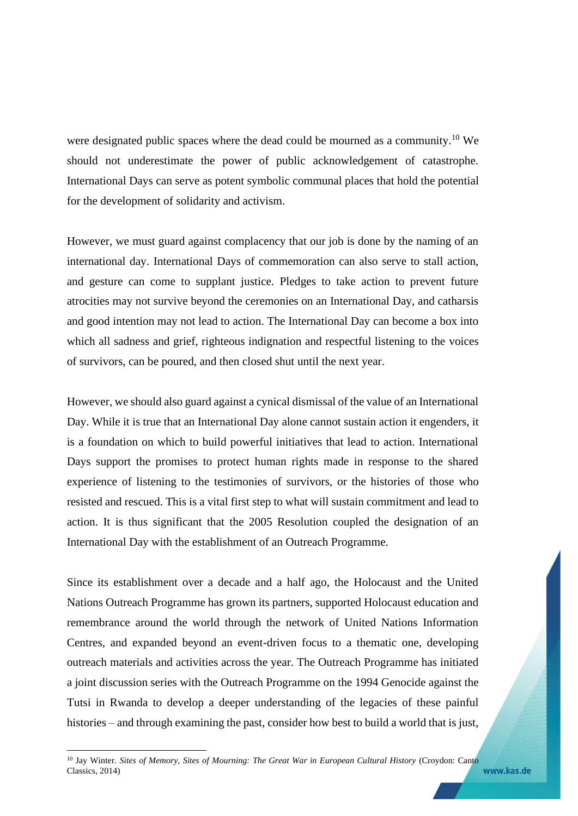were designated public spaces where the dead could be mourned as a community.<sup>10</sup> We should not underestimate the power of public acknowledgement of catastrophe. International Days can serve as potent symbolic communal places that hold the potential for the development of solidarity and activism.

However, we must guard against complacency that our job is done by the naming of an international day. International Days of commemoration can also serve to stall action, and gesture can come to supplant justice. Pledges to take action to prevent future atrocities may not survive beyond the ceremonies on an International Day, and catharsis and good intention may not lead to action. The International Day can become a box into which all sadness and grief, righteous indignation and respectful listening to the voices of survivors, can be poured, and then closed shut until the next year.

However, we should also guard against a cynical dismissal of the value of an International Day. While it is true that an International Day alone cannot sustain action it engenders, it is a foundation on which to build powerful initiatives that lead to action. International Days support the promises to protect human rights made in response to the shared experience of listening to the testimonies of survivors, or the histories of those who resisted and rescued. This is a vital first step to what will sustain commitment and lead to action. It is thus significant that the 2005 Resolution coupled the designation of an International Day with the establishment of an Outreach Programme.

Since its establishment over a decade and a half ago, the Holocaust and the United Nations Outreach Programme has grown its partners, supported Holocaust education and remembrance around the world through the network of United Nations Information Centres, and expanded beyond an event-driven focus to a thematic one, developing outreach materials and activities across the year. The Outreach Programme has initiated a joint discussion series with the Outreach Programme on the 1994 Genocide against the Tutsi in Rwanda to develop a deeper understanding of the legacies of these painful histories – and through examining the past, consider how best to build a world that is just,

www.kas.de

<sup>&</sup>lt;sup>10</sup> Jay Winter. *Sites of Memory, Sites of Mourning: The Great War in European Cultural History* (Croydon: Canto Classics, 2014)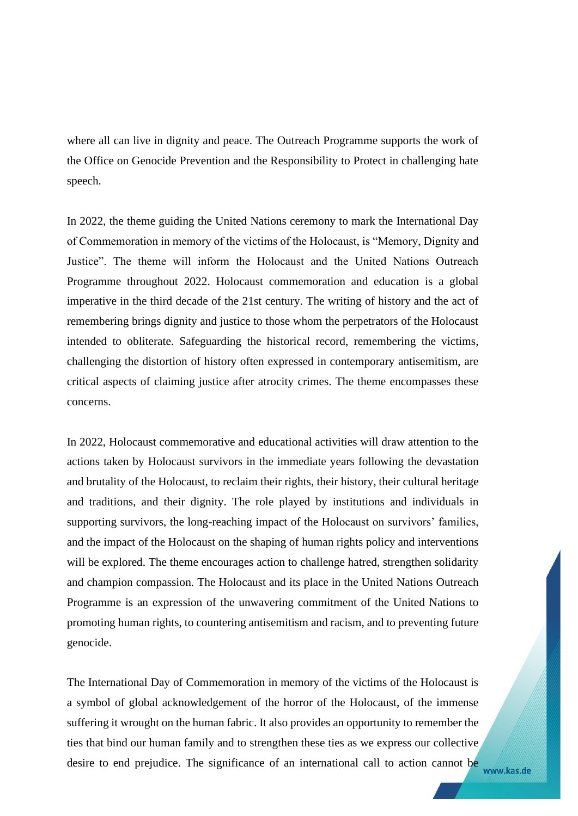where all can live in dignity and peace. The Outreach Programme supports the work of the Office on Genocide Prevention and the Responsibility to Protect in challenging hate speech.

In 2022, the theme guiding the United Nations ceremony to mark the International Day of Commemoration in memory of the victims of the Holocaust, is "Memory, Dignity and Justice". The theme will inform the Holocaust and the United Nations Outreach Programme throughout 2022. Holocaust commemoration and education is a global imperative in the third decade of the 21st century. The writing of history and the act of remembering brings dignity and justice to those whom the perpetrators of the Holocaust intended to obliterate. Safeguarding the historical record, remembering the victims, challenging the distortion of history often expressed in contemporary antisemitism, are critical aspects of claiming justice after atrocity crimes. The theme encompasses these concerns.

In 2022, Holocaust commemorative and educational activities will draw attention to the actions taken by Holocaust survivors in the immediate years following the devastation and brutality of the Holocaust, to reclaim their rights, their history, their cultural heritage and traditions, and their dignity. The role played by institutions and individuals in supporting survivors, the long-reaching impact of the Holocaust on survivors' families, and the impact of the Holocaust on the shaping of human rights policy and interventions will be explored. The theme encourages action to challenge hatred, strengthen solidarity and champion compassion. The Holocaust and its place in the United Nations Outreach Programme is an expression of the unwavering commitment of the United Nations to promoting human rights, to countering antisemitism and racism, and to preventing future genocide.

The International Day of Commemoration in memory of the victims of the Holocaust is a symbol of global acknowledgement of the horror of the Holocaust, of the immense suffering it wrought on the human fabric. It also provides an opportunity to remember the ties that bind our human family and to strengthen these ties as we express our collective desire to end prejudice. The significance of an international call to action cannot be